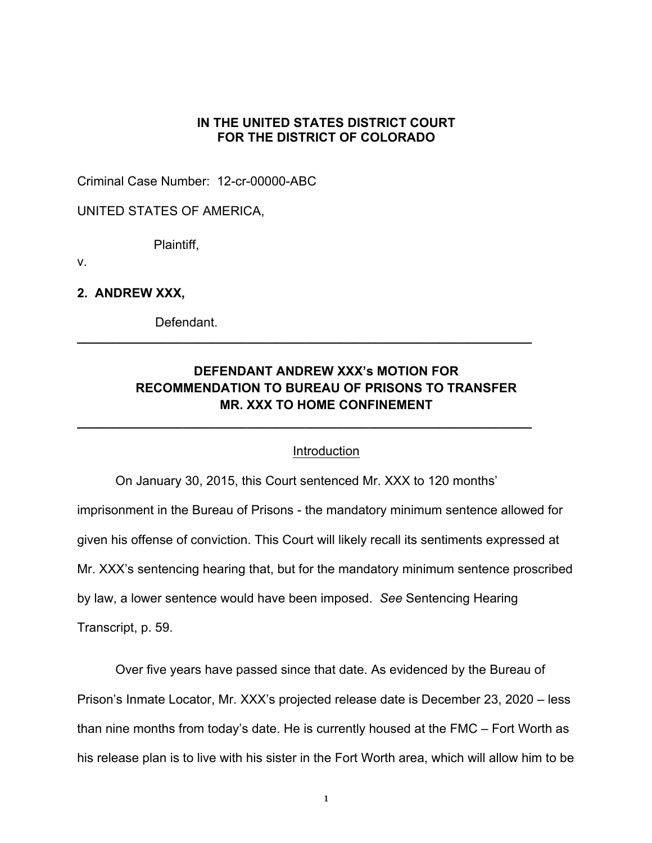### **IN THE UNITED STATES DISTRICT COURT FOR THE DISTRICT OF COLORADO**

Criminal Case Number: 12-cr-00000-ABC

UNITED STATES OF AMERICA,

Plaintiff,

v.

**2. ANDREW XXX,**

Defendant.

# **DEFENDANT ANDREW XXX's MOTION FOR RECOMMENDATION TO BUREAU OF PRISONS TO TRANSFER MR. XXX TO HOME CONFINEMENT**

**\_\_\_\_\_\_\_\_\_\_\_\_\_\_\_\_\_\_\_\_\_\_\_\_\_\_\_\_\_\_\_\_\_\_\_\_\_\_\_\_\_\_\_\_\_\_\_\_\_\_\_\_\_\_\_\_\_\_\_\_\_\_\_\_**

**\_\_\_\_\_\_\_\_\_\_\_\_\_\_\_\_\_\_\_\_\_\_\_\_\_\_\_\_\_\_\_\_\_\_\_\_\_\_\_\_\_\_\_\_\_\_\_\_\_\_\_\_\_\_\_\_\_\_\_\_\_\_\_\_**

### Introduction

On January 30, 2015, this Court sentenced Mr. XXX to 120 months' imprisonment in the Bureau of Prisons - the mandatory minimum sentence allowed for given his offense of conviction. This Court will likely recall its sentiments expressed at Mr. XXX's sentencing hearing that, but for the mandatory minimum sentence proscribed by law, a lower sentence would have been imposed. *See* Sentencing Hearing Transcript, p. 59.

Over five years have passed since that date. As evidenced by the Bureau of Prison's Inmate Locator, Mr. XXX's projected release date is December 23, 2020 – less than nine months from today's date. He is currently housed at the FMC – Fort Worth as his release plan is to live with his sister in the Fort Worth area, which will allow him to be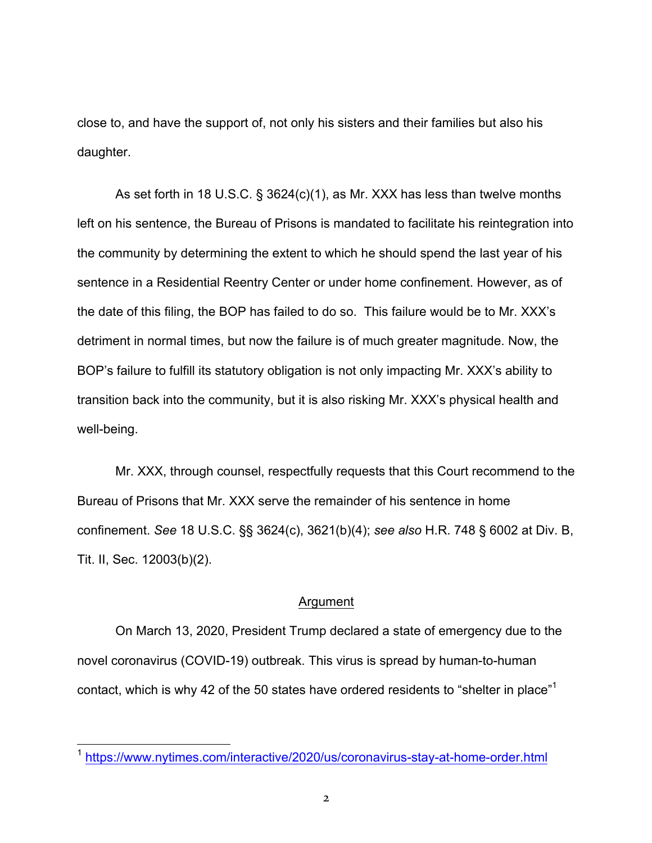close to, and have the support of, not only his sisters and their families but also his daughter.

As set forth in 18 U.S.C. § 3624(c)(1), as Mr. XXX has less than twelve months left on his sentence, the Bureau of Prisons is mandated to facilitate his reintegration into the community by determining the extent to which he should spend the last year of his sentence in a Residential Reentry Center or under home confinement. However, as of the date of this filing, the BOP has failed to do so. This failure would be to Mr. XXX's detriment in normal times, but now the failure is of much greater magnitude. Now, the BOP's failure to fulfill its statutory obligation is not only impacting Mr. XXX's ability to transition back into the community, but it is also risking Mr. XXX's physical health and well-being.

Mr. XXX, through counsel, respectfully requests that this Court recommend to the Bureau of Prisons that Mr. XXX serve the remainder of his sentence in home confinement. *See* 18 U.S.C. §§ 3624(c), 3621(b)(4); *see also* H.R. 748 § 6002 at Div. B, Tit. II, Sec. 12003(b)(2).

#### Argument

On March 13, 2020, President Trump declared a state of emergency due to the novel coronavirus (COVID-19) outbreak. This virus is spread by human-to-human contact, which is why 42 of the 50 states have ordered residents to "shelter in place"1

 <sup>1</sup> https://www.nytimes.com/interactive/2020/us/coronavirus-stay-at-home-order.html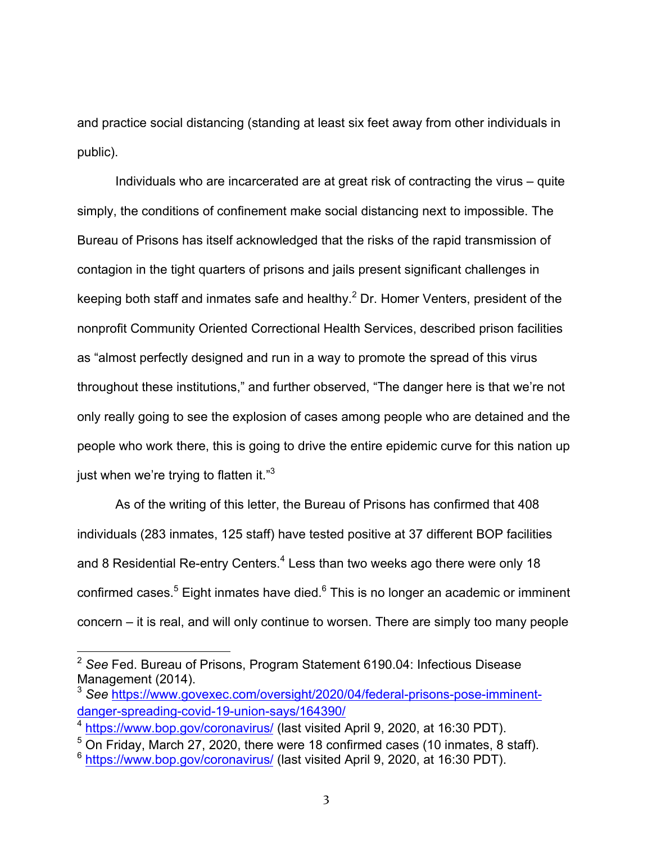and practice social distancing (standing at least six feet away from other individuals in public).

Individuals who are incarcerated are at great risk of contracting the virus – quite simply, the conditions of confinement make social distancing next to impossible. The Bureau of Prisons has itself acknowledged that the risks of the rapid transmission of contagion in the tight quarters of prisons and jails present significant challenges in keeping both staff and inmates safe and healthy.<sup>2</sup> Dr. Homer Venters, president of the nonprofit Community Oriented Correctional Health Services, described prison facilities as "almost perfectly designed and run in a way to promote the spread of this virus throughout these institutions," and further observed, "The danger here is that we're not only really going to see the explosion of cases among people who are detained and the people who work there, this is going to drive the entire epidemic curve for this nation up just when we're trying to flatten it."<sup>3</sup>

As of the writing of this letter, the Bureau of Prisons has confirmed that 408 individuals (283 inmates, 125 staff) have tested positive at 37 different BOP facilities and 8 Residential Re-entry Centers.<sup>4</sup> Less than two weeks ago there were only 18 confirmed cases.<sup>5</sup> Eight inmates have died.<sup>6</sup> This is no longer an academic or imminent concern – it is real, and will only continue to worsen. There are simply too many people

 <sup>2</sup> *See* Fed. Bureau of Prisons, Program Statement 6190.04: Infectious Disease Management (2014).

<sup>3</sup> *See* https://www.govexec.com/oversight/2020/04/federal-prisons-pose-imminentdanger-spreading-covid-19-union-says/164390/

<sup>4</sup> https://www.bop.gov/coronavirus/ (last visited April 9, 2020, at 16:30 PDT).

 $5$  On Friday, March 27, 2020, there were 18 confirmed cases (10 inmates, 8 staff).

<sup>6</sup> https://www.bop.gov/coronavirus/ (last visited April 9, 2020, at 16:30 PDT).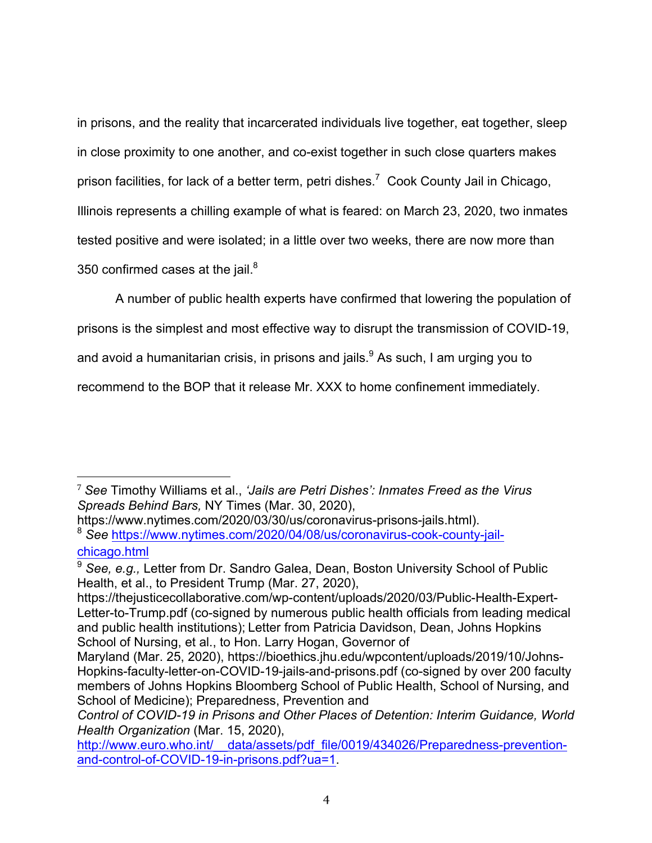in prisons, and the reality that incarcerated individuals live together, eat together, sleep in close proximity to one another, and co-exist together in such close quarters makes prison facilities, for lack of a better term, petri dishes.<sup>7</sup> Cook County Jail in Chicago, Illinois represents a chilling example of what is feared: on March 23, 2020, two inmates tested positive and were isolated; in a little over two weeks, there are now more than 350 confirmed cases at the jail. $8<sup>8</sup>$ 

A number of public health experts have confirmed that lowering the population of

prisons is the simplest and most effective way to disrupt the transmission of COVID-19,

and avoid a humanitarian crisis, in prisons and jails.<sup>9</sup> As such, I am urging you to

recommend to the BOP that it release Mr. XXX to home confinement immediately.

 

<sup>7</sup> *See* Timothy Williams et al., *'Jails are Petri Dishes': Inmates Freed as the Virus Spreads Behind Bars,* NY Times (Mar. 30, 2020),

https://www.nytimes.com/2020/03/30/us/coronavirus-prisons-jails.html). <sup>8</sup> *See* https://www.nytimes.com/2020/04/08/us/coronavirus-cook-county-jail-

chicago.html

<sup>9</sup> *See, e.g.,* Letter from Dr. Sandro Galea, Dean, Boston University School of Public Health, et al., to President Trump (Mar. 27, 2020),

https://thejusticecollaborative.com/wp-content/uploads/2020/03/Public-Health-Expert-Letter-to-Trump.pdf (co-signed by numerous public health officials from leading medical and public health institutions); Letter from Patricia Davidson, Dean, Johns Hopkins School of Nursing, et al., to Hon. Larry Hogan, Governor of

Maryland (Mar. 25, 2020), https://bioethics.jhu.edu/wpcontent/uploads/2019/10/Johns-Hopkins-faculty-letter-on-COVID-19-jails-and-prisons.pdf (co-signed by over 200 faculty members of Johns Hopkins Bloomberg School of Public Health, School of Nursing, and School of Medicine); Preparedness, Prevention and

*Control of COVID-19 in Prisons and Other Places of Detention: Interim Guidance, World Health Organization* (Mar. 15, 2020),

http://www.euro.who.int/ data/assets/pdf file/0019/434026/Preparedness-preventionand-control-of-COVID-19-in-prisons.pdf?ua=1.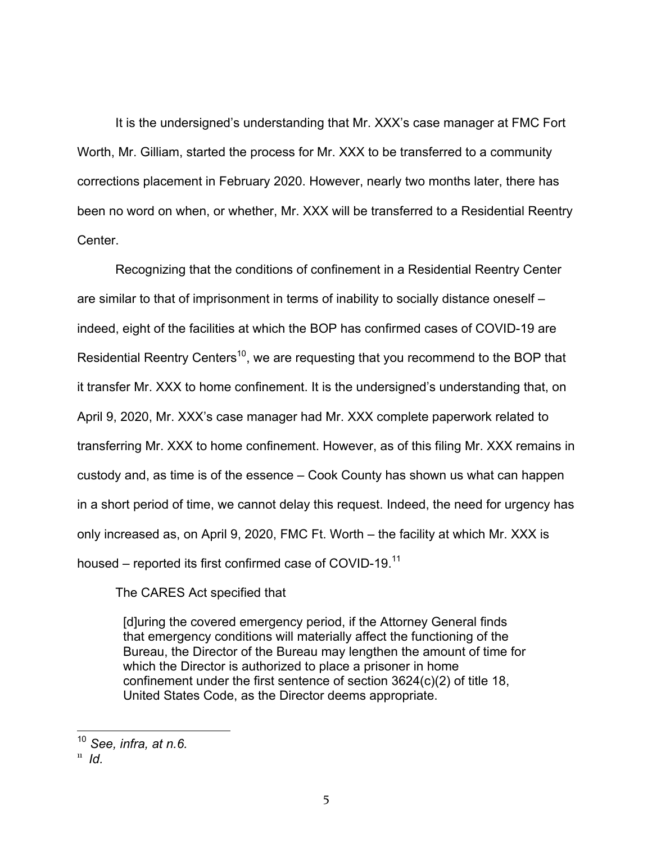It is the undersigned's understanding that Mr. XXX's case manager at FMC Fort Worth, Mr. Gilliam, started the process for Mr. XXX to be transferred to a community corrections placement in February 2020. However, nearly two months later, there has been no word on when, or whether, Mr. XXX will be transferred to a Residential Reentry Center.

Recognizing that the conditions of confinement in a Residential Reentry Center are similar to that of imprisonment in terms of inability to socially distance oneself – indeed, eight of the facilities at which the BOP has confirmed cases of COVID-19 are Residential Reentry Centers<sup>10</sup>, we are requesting that you recommend to the BOP that it transfer Mr. XXX to home confinement. It is the undersigned's understanding that, on April 9, 2020, Mr. XXX's case manager had Mr. XXX complete paperwork related to transferring Mr. XXX to home confinement. However, as of this filing Mr. XXX remains in custody and, as time is of the essence – Cook County has shown us what can happen in a short period of time, we cannot delay this request. Indeed, the need for urgency has only increased as, on April 9, 2020, FMC Ft. Worth – the facility at which Mr. XXX is housed – reported its first confirmed case of COVID-19.<sup>11</sup>

The CARES Act specified that

[d]uring the covered emergency period, if the Attorney General finds that emergency conditions will materially affect the functioning of the Bureau, the Director of the Bureau may lengthen the amount of time for which the Director is authorized to place a prisoner in home confinement under the first sentence of section 3624(c)(2) of title 18, United States Code, as the Director deems appropriate.

 <sup>10</sup> *See, infra, at n.6.*

 $^{\text{11}}$  *Id.*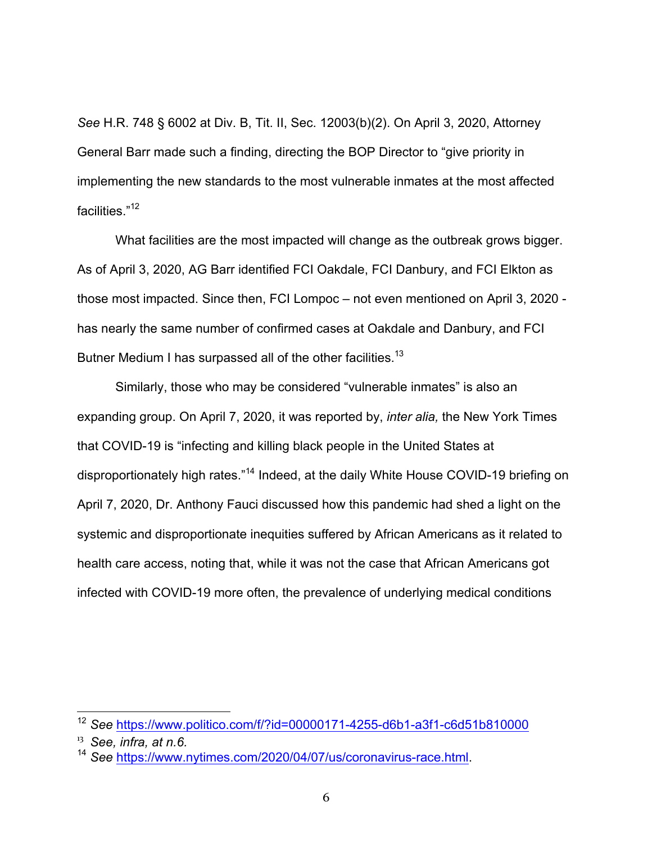*See* H.R. 748 § 6002 at Div. B, Tit. II, Sec. 12003(b)(2). On April 3, 2020, Attorney General Barr made such a finding, directing the BOP Director to "give priority in implementing the new standards to the most vulnerable inmates at the most affected facilities." 12

What facilities are the most impacted will change as the outbreak grows bigger. As of April 3, 2020, AG Barr identified FCI Oakdale, FCI Danbury, and FCI Elkton as those most impacted. Since then, FCI Lompoc – not even mentioned on April 3, 2020 has nearly the same number of confirmed cases at Oakdale and Danbury, and FCI Butner Medium I has surpassed all of the other facilities.<sup>13</sup>

Similarly, those who may be considered "vulnerable inmates" is also an expanding group. On April 7, 2020, it was reported by, *inter alia,* the New York Times that COVID-19 is "infecting and killing black people in the United States at disproportionately high rates."<sup>14</sup> Indeed, at the daily White House COVID-19 briefing on April 7, 2020, Dr. Anthony Fauci discussed how this pandemic had shed a light on the systemic and disproportionate inequities suffered by African Americans as it related to health care access, noting that, while it was not the case that African Americans got infected with COVID-19 more often, the prevalence of underlying medical conditions

 <sup>12</sup> *See* https://www.politico.com/f/?id=00000171-4255-d6b1-a3f1-c6d51b810000

 $13$  See, infra, at n.6.

<sup>14</sup> *See* https://www.nytimes.com/2020/04/07/us/coronavirus-race.html.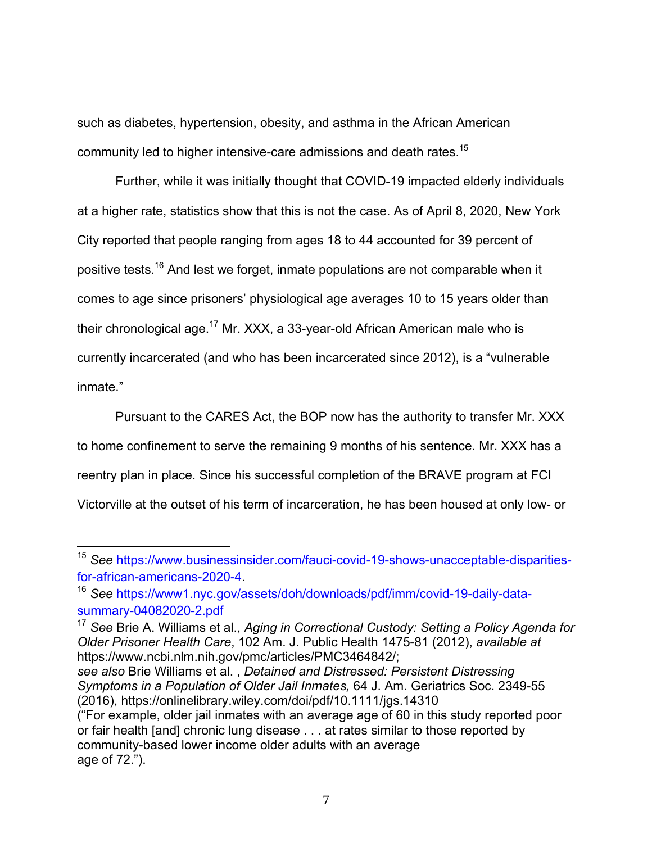such as diabetes, hypertension, obesity, and asthma in the African American community led to higher intensive-care admissions and death rates.15

Further, while it was initially thought that COVID-19 impacted elderly individuals at a higher rate, statistics show that this is not the case. As of April 8, 2020, New York City reported that people ranging from ages 18 to 44 accounted for 39 percent of positive tests.<sup>16</sup> And lest we forget, inmate populations are not comparable when it comes to age since prisoners' physiological age averages 10 to 15 years older than their chronological age.<sup>17</sup> Mr. XXX, a 33-year-old African American male who is currently incarcerated (and who has been incarcerated since 2012), is a "vulnerable inmate."

Pursuant to the CARES Act, the BOP now has the authority to transfer Mr. XXX to home confinement to serve the remaining 9 months of his sentence. Mr. XXX has a reentry plan in place. Since his successful completion of the BRAVE program at FCI Victorville at the outset of his term of incarceration, he has been housed at only low- or

 <sup>15</sup> *See* https://www.businessinsider.com/fauci-covid-19-shows-unacceptable-disparitiesfor-african-americans-2020-4. 16 *See* https://www1.nyc.gov/assets/doh/downloads/pdf/imm/covid-19-daily-data-

summary-04082020-2.pdf

<sup>17</sup> *See* Brie A. Williams et al., *Aging in Correctional Custody: Setting a Policy Agenda for Older Prisoner Health Care*, 102 Am. J. Public Health 1475-81 (2012), *available at* https://www.ncbi.nlm.nih.gov/pmc/articles/PMC3464842/;

*see also* Brie Williams et al. , *Detained and Distressed: Persistent Distressing Symptoms in a Population of Older Jail Inmates,* 64 J. Am. Geriatrics Soc. 2349-55 (2016), https://onlinelibrary.wiley.com/doi/pdf/10.1111/jgs.14310

<sup>(&</sup>quot;For example, older jail inmates with an average age of 60 in this study reported poor or fair health [and] chronic lung disease . . . at rates similar to those reported by community-based lower income older adults with an average age of 72.").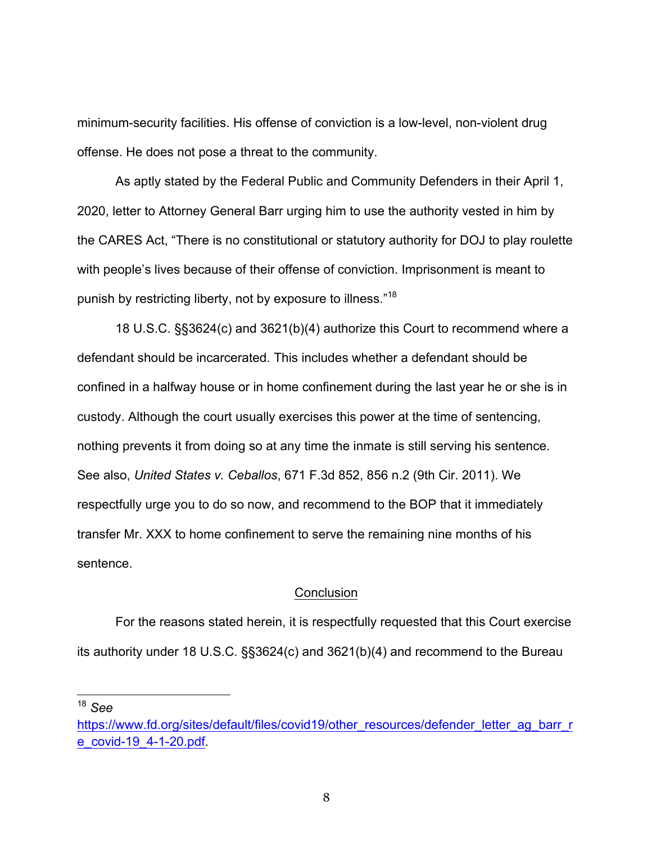minimum-security facilities. His offense of conviction is a low-level, non-violent drug offense. He does not pose a threat to the community.

As aptly stated by the Federal Public and Community Defenders in their April 1, 2020, letter to Attorney General Barr urging him to use the authority vested in him by the CARES Act, "There is no constitutional or statutory authority for DOJ to play roulette with people's lives because of their offense of conviction. Imprisonment is meant to punish by restricting liberty, not by exposure to illness."<sup>18</sup>

18 U.S.C. §§3624(c) and 3621(b)(4) authorize this Court to recommend where a defendant should be incarcerated. This includes whether a defendant should be confined in a halfway house or in home confinement during the last year he or she is in custody. Although the court usually exercises this power at the time of sentencing, nothing prevents it from doing so at any time the inmate is still serving his sentence. See also, *United States v. Ceballos*, 671 F.3d 852, 856 n.2 (9th Cir. 2011). We respectfully urge you to do so now, and recommend to the BOP that it immediately transfer Mr. XXX to home confinement to serve the remaining nine months of his sentence.

#### **Conclusion**

For the reasons stated herein, it is respectfully requested that this Court exercise its authority under 18 U.S.C. §§3624(c) and 3621(b)(4) and recommend to the Bureau

 <sup>18</sup> *See* 

https://www.fd.org/sites/default/files/covid19/other\_resources/defender\_letter\_ag\_barr\_r e\_covid-19\_4-1-20.pdf.